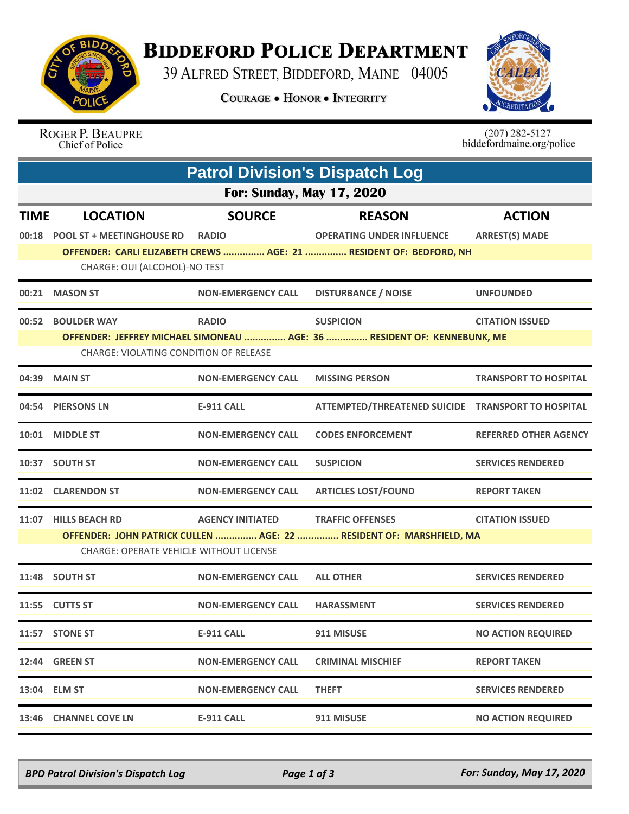

## **BIDDEFORD POLICE DEPARTMENT**

39 ALFRED STREET, BIDDEFORD, MAINE 04005

**COURAGE . HONOR . INTEGRITY** 



ROGER P. BEAUPRE Chief of Police

 $(207)$  282-5127<br>biddefordmaine.org/police

|                                  | <b>Patrol Division's Dispatch Log</b>                               |                           |                                                                         |                              |  |  |  |
|----------------------------------|---------------------------------------------------------------------|---------------------------|-------------------------------------------------------------------------|------------------------------|--|--|--|
| <b>For: Sunday, May 17, 2020</b> |                                                                     |                           |                                                                         |                              |  |  |  |
| <b>TIME</b>                      | <b>LOCATION</b>                                                     | <b>SOURCE</b>             | <b>REASON</b>                                                           | <b>ACTION</b>                |  |  |  |
| 00:18                            | <b>POOL ST + MEETINGHOUSE RD</b>                                    | <b>RADIO</b>              | <b>OPERATING UNDER INFLUENCE</b>                                        | <b>ARREST(S) MADE</b>        |  |  |  |
|                                  | CHARGE: OUI (ALCOHOL)-NO TEST                                       |                           | OFFENDER: CARLI ELIZABETH CREWS  AGE: 21  RESIDENT OF: BEDFORD, NH      |                              |  |  |  |
|                                  |                                                                     |                           |                                                                         |                              |  |  |  |
|                                  | 00:21 MASON ST                                                      | <b>NON-EMERGENCY CALL</b> | <b>DISTURBANCE / NOISE</b>                                              | <b>UNFOUNDED</b>             |  |  |  |
| 00:52                            | <b>BOULDER WAY</b>                                                  | <b>RADIO</b>              | <b>SUSPICION</b>                                                        | <b>CITATION ISSUED</b>       |  |  |  |
|                                  |                                                                     |                           | OFFENDER: JEFFREY MICHAEL SIMONEAU  AGE: 36  RESIDENT OF: KENNEBUNK, ME |                              |  |  |  |
|                                  | <b>CHARGE: VIOLATING CONDITION OF RELEASE</b>                       |                           |                                                                         |                              |  |  |  |
|                                  | 04:39 MAIN ST                                                       | <b>NON-EMERGENCY CALL</b> | <b>MISSING PERSON</b>                                                   | <b>TRANSPORT TO HOSPITAL</b> |  |  |  |
|                                  | 04:54 PIERSONS LN                                                   | <b>E-911 CALL</b>         | ATTEMPTED/THREATENED SUICIDE TRANSPORT TO HOSPITAL                      |                              |  |  |  |
|                                  | 10:01 MIDDLE ST                                                     | <b>NON-EMERGENCY CALL</b> | <b>CODES ENFORCEMENT</b>                                                | <b>REFERRED OTHER AGENCY</b> |  |  |  |
|                                  | 10:37 SOUTH ST                                                      | <b>NON-EMERGENCY CALL</b> | <b>SUSPICION</b>                                                        | <b>SERVICES RENDERED</b>     |  |  |  |
|                                  | 11:02 CLARENDON ST                                                  | <b>NON-EMERGENCY CALL</b> | <b>ARTICLES LOST/FOUND</b>                                              | <b>REPORT TAKEN</b>          |  |  |  |
| 11:07                            | <b>HILLS BEACH RD</b>                                               | <b>AGENCY INITIATED</b>   | <b>TRAFFIC OFFENSES</b>                                                 | <b>CITATION ISSUED</b>       |  |  |  |
|                                  | OFFENDER: JOHN PATRICK CULLEN  AGE: 22  RESIDENT OF: MARSHFIELD, MA |                           |                                                                         |                              |  |  |  |
|                                  | <b>CHARGE: OPERATE VEHICLE WITHOUT LICENSE</b>                      |                           |                                                                         |                              |  |  |  |
|                                  | 11:48 SOUTH ST                                                      | <b>NON-EMERGENCY CALL</b> | <b>ALL OTHER</b>                                                        | <b>SERVICES RENDERED</b>     |  |  |  |
| 11:55                            | <b>CUTTS ST</b>                                                     | <b>NON-EMERGENCY CALL</b> | <b>HARASSMENT</b>                                                       | <b>SERVICES RENDERED</b>     |  |  |  |
|                                  | 11:57 STONE ST                                                      | <b>E-911 CALL</b>         | 911 MISUSE                                                              | <b>NO ACTION REQUIRED</b>    |  |  |  |
|                                  | 12:44 GREEN ST                                                      | <b>NON-EMERGENCY CALL</b> | <b>CRIMINAL MISCHIEF</b>                                                | <b>REPORT TAKEN</b>          |  |  |  |
|                                  | 13:04 ELM ST                                                        | <b>NON-EMERGENCY CALL</b> | <b>THEFT</b>                                                            | <b>SERVICES RENDERED</b>     |  |  |  |
|                                  | 13:46 CHANNEL COVE LN                                               | <b>E-911 CALL</b>         | 911 MISUSE                                                              | <b>NO ACTION REQUIRED</b>    |  |  |  |

*BPD Patrol Division's Dispatch Log Page 1 of 3 For: Sunday, May 17, 2020*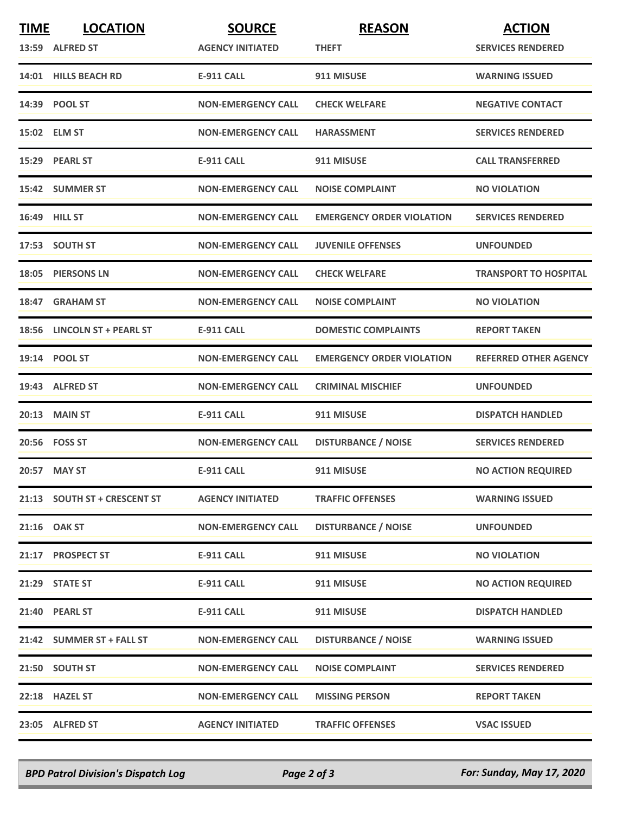| <b>TIME</b> | <b>LOCATION</b>              | <b>SOURCE</b>             | <b>REASON</b>                    | <b>ACTION</b>                |
|-------------|------------------------------|---------------------------|----------------------------------|------------------------------|
|             | 13:59 ALFRED ST              | <b>AGENCY INITIATED</b>   | <b>THEFT</b>                     | <b>SERVICES RENDERED</b>     |
|             | 14:01 HILLS BEACH RD         | <b>E-911 CALL</b>         | 911 MISUSE                       | <b>WARNING ISSUED</b>        |
|             | 14:39 POOL ST                | <b>NON-EMERGENCY CALL</b> | <b>CHECK WELFARE</b>             | <b>NEGATIVE CONTACT</b>      |
|             | 15:02 ELM ST                 | <b>NON-EMERGENCY CALL</b> | <b>HARASSMENT</b>                | <b>SERVICES RENDERED</b>     |
|             | 15:29 PEARL ST               | <b>E-911 CALL</b>         | 911 MISUSE                       | <b>CALL TRANSFERRED</b>      |
|             | 15:42 SUMMER ST              | <b>NON-EMERGENCY CALL</b> | <b>NOISE COMPLAINT</b>           | <b>NO VIOLATION</b>          |
|             | 16:49 HILL ST                | <b>NON-EMERGENCY CALL</b> | <b>EMERGENCY ORDER VIOLATION</b> | <b>SERVICES RENDERED</b>     |
|             | 17:53 SOUTH ST               | <b>NON-EMERGENCY CALL</b> | <b>JUVENILE OFFENSES</b>         | <b>UNFOUNDED</b>             |
|             | 18:05 PIERSONS LN            | <b>NON-EMERGENCY CALL</b> | <b>CHECK WELFARE</b>             | <b>TRANSPORT TO HOSPITAL</b> |
| 18:47       | <b>GRAHAM ST</b>             | <b>NON-EMERGENCY CALL</b> | <b>NOISE COMPLAINT</b>           | <b>NO VIOLATION</b>          |
|             | 18:56 LINCOLN ST + PEARL ST  | <b>E-911 CALL</b>         | <b>DOMESTIC COMPLAINTS</b>       | <b>REPORT TAKEN</b>          |
|             | 19:14 POOL ST                | <b>NON-EMERGENCY CALL</b> | <b>EMERGENCY ORDER VIOLATION</b> | <b>REFERRED OTHER AGENCY</b> |
|             | 19:43 ALFRED ST              | <b>NON-EMERGENCY CALL</b> | <b>CRIMINAL MISCHIEF</b>         | <b>UNFOUNDED</b>             |
|             | 20:13 MAIN ST                | <b>E-911 CALL</b>         | 911 MISUSE                       | <b>DISPATCH HANDLED</b>      |
|             | 20:56 FOSS ST                | <b>NON-EMERGENCY CALL</b> | <b>DISTURBANCE / NOISE</b>       | <b>SERVICES RENDERED</b>     |
|             | 20:57 MAY ST                 | <b>E-911 CALL</b>         | 911 MISUSE                       | <b>NO ACTION REQUIRED</b>    |
|             | 21:13 SOUTH ST + CRESCENT ST | <b>AGENCY INITIATED</b>   | <b>TRAFFIC OFFENSES</b>          | <b>WARNING ISSUED</b>        |
|             | 21:16 OAK ST                 | <b>NON-EMERGENCY CALL</b> | <b>DISTURBANCE / NOISE</b>       | <b>UNFOUNDED</b>             |
|             | 21:17 PROSPECT ST            | <b>E-911 CALL</b>         | 911 MISUSE                       | <b>NO VIOLATION</b>          |
|             | 21:29 STATE ST               | <b>E-911 CALL</b>         | 911 MISUSE                       | <b>NO ACTION REQUIRED</b>    |
|             | 21:40 PEARL ST               | E-911 CALL                | 911 MISUSE                       | <b>DISPATCH HANDLED</b>      |
|             | 21:42 SUMMER ST + FALL ST    | <b>NON-EMERGENCY CALL</b> | <b>DISTURBANCE / NOISE</b>       | <b>WARNING ISSUED</b>        |
|             | 21:50 SOUTH ST               | <b>NON-EMERGENCY CALL</b> | <b>NOISE COMPLAINT</b>           | <b>SERVICES RENDERED</b>     |
|             | 22:18 HAZEL ST               | <b>NON-EMERGENCY CALL</b> | <b>MISSING PERSON</b>            | <b>REPORT TAKEN</b>          |
|             | 23:05 ALFRED ST              | <b>AGENCY INITIATED</b>   | <b>TRAFFIC OFFENSES</b>          | <b>VSAC ISSUED</b>           |

*BPD Patrol Division's Dispatch Log Page 2 of 3 For: Sunday, May 17, 2020*